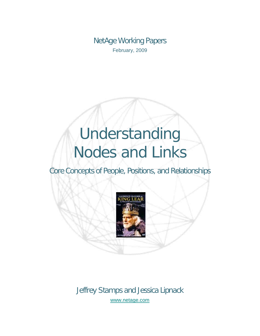NetAge Working Papers February, 2009

# Understanding Nodes and Links

Core Concepts of People, Positions, and Relationships



Jeffrey Stamps and Jessica Lipnack [www.netage.com](http://www.netage.com/)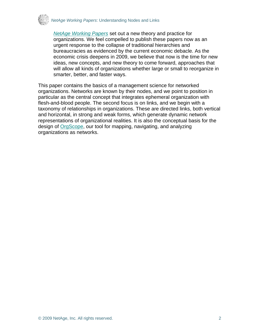

*[NetAge Working Papers](http://www.netage.com/pub/whpapers/index-white.html)* set out a new theory and practice for organizations. We feel compelled to publish these papers now as an urgent response to the collapse of traditional hierarchies and bureaucracies as evidenced by the current economic debacle. As the economic crisis deepens in 2009, we believe that now is the time for new ideas, new concepts, and new theory to come forward, approaches that will allow all kinds of organizations whether large or small to reorganize in smarter, better, and faster ways.

This paper contains the basics of a management science for networked organizations. Networks are known by their nodes, and we point to position in particular as the central concept that integrates ephemeral organization with flesh-and-blood people. The second focus is on links, and we begin with a taxonomy of relationships in organizations. These are directed links, both vertical and horizontal, in strong and weak forms, which generate dynamic network representations of organizational realities. It is also the conceptual basis for the design of [OrgScope](http://www.netage.com/orgscope/index.html), our tool for mapping, navigating, and analyzing organizations as networks.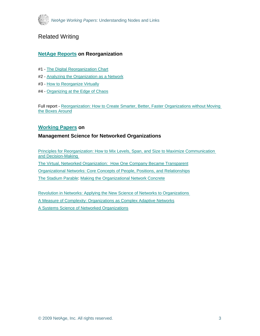

## Related Writing

#### **[NetAge Reports](http://www.netage.com/pub/whpapers/index-reports.html) on Reorganization**

- #1 - [The Digital Reorganization Chart](http://www.netage.com/pub/whpapers/NAReports/NARpt01_USGov-org.pdf)
- #2 - [Analyzing the Organization as a Network](http://www.netage.com/pub/whpapers/NAReports/NARpt02_USGov-anal.pdf)
- #3 - [How to Reorganize Virtually](http://www.netage.com/pub/whpapers/NAReports/NARpt03_USGov-reorg.pdf)
- #4 - [Organizing at the Edge of Chaos](http://www.netage.com/pub/whpapers/NAReports/NARpt04_org-at-edge.pdf)

Full report - [Reorganization: How to Create Smarter, Better, Faster Organizations without Moving](http://www.netage.com/pub/whpapers/NAReports/NARpt-vReorg_full.pdf)  [the Boxes Around](http://www.netage.com/pub/whpapers/NAReports/NARpt-vReorg_full.pdf)

#### **[Working Papers](http://www.netage.com/pub/whpapers/index-white.html) on**

#### **Management Science for Networked Organizations**

[Principles for Reorganization: How to Mix Levels, Span, and Size to Maximize Communication](http://www.netage.com/pub/whpapers/whpapers/WP_Principles-reorg.pdf)  [and Decision-Making](http://www.netage.com/pub/whpapers/whpapers/WP_Principles-reorg.pdf)  [The Virtual, Networked Organization: How One Company Became Transparent](http://www.netage.com/pub/articles/articles%20-%20new/Virtual%20Networked%20Org_pg-proof.pdf) [Organizational Networks: Core Concepts of People, Positions, and Relationships](http://www.netage.com/pub/whpapers/whpapers/WP_Core%20Concepts.pdf) [The Stadium Parable: Making the Organizational Network Concrete](http://www.netage.com/pub/articles/articles%20-%20new/Stadium-parable-doc_01Oct07.pdf)

[Revolution in Networks: Applying the New Science of Networks to Organizations](http://www.netage.com/pub/whpapers/whpapers/WP_Network%20Science.pdf)  [A Measure of Complexity: Organizations as Complex Adaptive Networks](http://www.netage.com/pub/whpapers/whpapers/WP_Complexity.pdf) [A Systems Science of Networked Organizations](http://www.netage.com/pub/whpapers/ISSS_2000.pdf)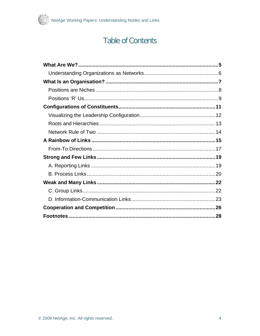

# **Table of Contents**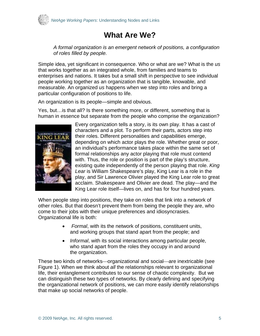<span id="page-4-0"></span>

# **What Are We?**

*A formal organization is an emergent network of positions, a configuration of roles filled by people.* 

Simple idea, yet significant in consequence. Who or what are we? What is the *us* that works together as an integrated whole, from families and teams to enterprises and nations. It takes but a small shift in perspective to see individual people working together as an organization that is tangible, knowable, and measurable. An organized *us* happens when we step into roles and bring a particular configuration of positions to life.

An organization is its people—simple and obvious.

Yes, but…is that all? Is there something more, or different, something that is human in essence but separate from the people who comprise the organization?



Every organization tells a story, is its own play. It has a cast of characters and a plot. To perform their parts, actors step into their roles. Different personalities and capabilities emerge, depending on which actor plays the role. Whether great or poor, an individual's performance takes place within the same set of formal relationships any actor playing that role must contend with. Thus, the role or position is part of the play's structure, existing quite independently of the person playing that role. *King Lear* is William Shakespeare's play, King Lear is a role in the play, and Sir Lawrence Olivier played the King Lear role to great acclaim. Shakespeare and Olivier are dead. The play—and the King Lear role itself—lives on, and has for four hundred years.

When people step into positions, they take on roles that link into a network of other roles. But that doesn't prevent them from being the people they are, who come to their jobs with their unique preferences and idiosyncrasies. Organizational life is both:

- *Formal*, with its the network of positions, constituent units, and working groups that stand apart from the people; and
- *Informal*, with its social interactions among particular people, who stand apart from the roles they occupy in and around the organization.

These two kinds of networks—organizational and social—are inextricable (see Figure 1). When we think about *all* the relationships relevant to organizational life, their entanglement contributes to our sense of chaotic complexity. But we can distinguish these two types of networks. By clearly defining and specifying the organizational network of positions, we can more easily identify relationships that make up social networks of people.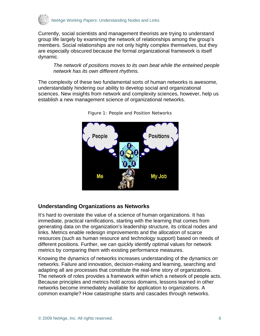<span id="page-5-0"></span>

Currently, social scientists and management theorists are trying to understand group life largely by examining the network of relationships among the group's members. Social relationships are not only highly complex themselves, but they are especially obscured because the formal organizational framework is itself dynamic.

*The network of positions moves to its own beat while the entwined people network has its own different rhythms.* 

The complexity of these two fundamental sorts of human networks is awesome, understandably hindering our ability to develop social and organizational sciences. New insights from network and complexity sciences, however, help us establish a new management science of organizational networks.



Figure 1: People and Position Networks

### **Understanding Organizations as Networks**

It's hard to overstate the value of a science of human organizations. It has immediate, practical ramifications, starting with the learning that comes from generating data on the organization's leadership structure, its critical nodes and links. Metrics enable redesign improvements and the allocation of scarce resources (such as human resource and technology support) based on needs of different positions. Further, we can quickly identify optimal values for network metrics by comparing them with existing performance measures.

Knowing the dynamics *of* networks increases understanding of the dynamics *on* networks. Failure and innovation, decision-making and learning, searching and adapting all are processes that constitute the real-time story of organizations. The network of roles provides a framework within which a network of people acts. Because principles and metrics hold across domains, lessons learned in other networks become immediately available for application to organizations. A common example? How catastrophe starts and cascades through networks.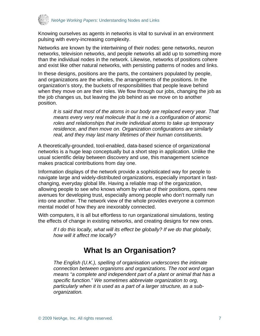<span id="page-6-0"></span>

Knowing ourselves as agents in networks is vital to survival in an environment pulsing with every-increasing complexity.

Networks are known by the intertwining of their nodes: gene networks, neuron networks, television networks, and people networks all add up to something more than the individual nodes in the network. Likewise, networks of positions cohere and exist like other natural networks, with persisting patterns of nodes and links.

In these designs, positions are the parts, the containers populated by people, and organizations are the wholes, the arrangements of the positions. In the organization's story, the buckets of responsibilities that people leave behind when they move on are their roles. We flow through our jobs, changing the job as the job changes us, but leaving the job behind as we move on to another position.

*It is said that most of the atoms in our body are replaced every year. That means every very real molecule that is me is a configuration of atomic roles and relationships that invite individual atoms to take up temporary residence, and then move on. Organization configurations are similarly real, and they may last many lifetimes of their human constituents.* 

A theoretically-grounded, tool-enabled, data-based science of organizational networks is a huge leap conceptually but a short step in application. Unlike the usual scientific delay between discovery and use, this management science makes practical contributions from day one.

Information displays of the network provide a sophisticated way for people to navigate large and widely-distributed organizations, especially important in fastchanging, everyday global life. Having a reliable map of the organization, allowing people to see who knows whom by virtue of their positions, opens new avenues for developing trust, especially among people who don't normally run into one another. The network view of the whole provides everyone a common mental model of how they are inexorably connected.

With computers, it is all but effortless to run organizational simulations, testing the effects of change in existing networks, and creating designs for new ones.

*If I do this locally, what will its effect be globally? If we do that globally, how will it affect me locally?* 

## **What Is an Organisation?**

*The English (U.K.), spelling of* organisation *underscores the intimate connection between organisms and organizations. The root word organ means "a complete and independent part of a plant or animal that has a specific function." We sometimes abbreviate organization to org, particularly when it is used as a part of a larger structure, as a suborganization.*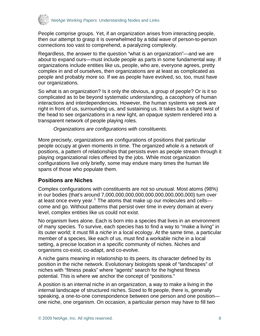<span id="page-7-0"></span>

People comprise groups. Yet, if an organization arises from interacting people, then our attempt to grasp it is overwhelmed by a tidal wave of person-to-person connections too vast to comprehend, a paralyzing complexity.

Regardless, the answer to the question "what is an organization"—and we are about to expand ours—must include people as parts in some fundamental way. If organizations include entities like us, people, who are, everyone agrees, pretty complex in and of ourselves, then organizations are at least as complicated as people and probably more so. If we as people have evolved, so, too, must have our organizations.

So what is an organization? Is it only the obvious, a group of people? Or is it so complicated as to be beyond systematic understanding, a cacophony of human interactions and interdependencies. However, the human systems we seek are right in front of us, surrounding us, and sustaining us. It takes but a slight twist of the head to see organizations in a new light, an opaque system rendered into a transparent network of people playing roles.

*Organizations are configurations with constituents.* 

More precisely, organizations are configurations of positions that particular people occupy at given moments in time. The organized whole *is* a network of positions, a pattern of relationships that persists even as people stream through it playing organizational roles offered by the jobs. While most organization configurations live only briefly, some may endure many times the human life spans of those who populate them.

#### **Positions are Niches**

Complex configurations with constituents are not so unusual. Most atoms (98%) in our bodies (that's around 7,000,000,000,000,000,000,000,000,000) turn over at least once every year.<sup>[1](#page-27-1)</sup> The atoms that make up our molecules and cells come and go. Without patterns that persist over time in every domain at every level, complex entities like us could not exist.

No organism lives alone. Each is born into a species that lives in an environment of many species. To survive, each species has to find a way to "make a living" in its outer world; it must fill a *niche* in a local ecology. At the same time, a particular member of a species, like each of us, must find a workable niche in a local setting, a precise location in a specific community of niches. Niches and organisms co-exist, co-adapt, and co-evolve.

A niche gains meaning in relationship to its peers, its character defined by its position in the niche network. Evolutionary biologists speak of "landscapes" of niches with "fitness peaks" where "agents" search for the highest fitness potential. This is where we anchor the concept of "positions."

A position is an internal niche in an organization, a way to make a living in the internal landscape of structured niches. Sized to fit people, there is, generally speaking, a one-to-one correspondence between one person and one position one niche, one organism. On occasion, a particular person may have to fill two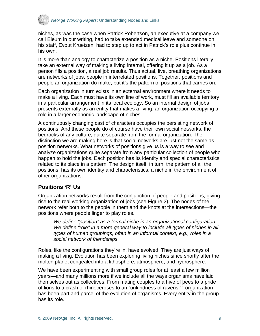<span id="page-8-0"></span>

niches, as was the case when Patrick Robertson, an executive at a company we call Eleum in our writing, had to take extended medical leave and someone on his staff, Evout Kruetzen, had to step up to act in Patrick's role plus continue in his own.

It is more than analogy to characterize a position as a niche. Positions literally take an external way of making a living internal, offering it up as a job. As a person fills a position, a real job results. Thus actual, live, breathing organizations are networks of jobs, people in interrelated positions. Together, positions and people an organization do make, but it's the pattern of positions that carries on.

Each organization in turn exists in an external environment where it needs to make a living. Each must have its own line of work, must fill an available territory in a particular arrangement in its local ecology. So an internal design of jobs presents externally as an entity that makes a living, an organization occupying a role in a larger economic landscape of niches.

A continuously changing cast of characters occupies the persisting network of positions. And these people do of course have their own social networks, the bedrocks of any culture, quite separate from the formal organization. The distinction we are making here is that social networks are just not the same as position networks. What networks of positions give us is a way to see and analyze organizations quite separate from any particular collection of people who happen to hold the jobs. Each position has its identity and special characteristics related to its place in a pattern. The design itself, in turn, the pattern of all the positions, has its own identity and characteristics, a niche in the environment of other organizations.

#### **Positions 'R' Us**

Organization networks result from the conjunction of people and positions, giving rise to the real working organization of jobs (see Figure 2). The nodes of the network refer both to the people in them and the knots at the intersections—the positions where people linger to play roles.

*We define "position" as a formal niche in an organizational configuration. We define "role" in a more general way to include all types of niches in all types of human groupings, often in an informal context, e.g., roles in a social network of friendships.* 

Roles, like the configurations they're in, have evolved. They are just ways of making a living. Evolution has been exploring living niches since shortly after the molten planet congealed into a lithosphere, atmosphere, and hydrosphere.

We have been experimenting with small group roles for at least a few million years—and many millions more if we include all the ways organisms have laid themselves out as collectives. From mating couples to a hive of bees to a pride of lions to a crash of rhinoceroses to an "unkindness of ravens,"<sup>[2](#page-27-2)</sup> organization has been part and parcel of the evolution of organisms. Every entity in the group has its role.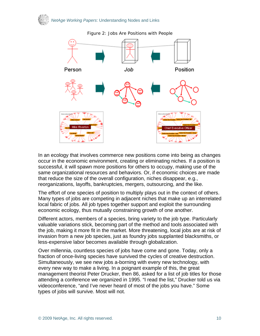

Figure 2: Jobs Are Positions with People

In an ecology that involves commerce new positions come into being as changes occur in the economic environment, creating or eliminating niches. If a position is successful, it will spawn more positions for others to occupy, making use of the same organizational resources and behaviors. Or, if economic choices are made that reduce the size of the overall configuration, niches disappear, e.g., reorganizations, layoffs, bankruptcies, mergers, outsourcing, and the like.

The effort of one species of position to multiply plays out in the context of others. Many types of jobs are competing in adjacent niches that make up an interrelated local fabric of jobs. All job types together support and exploit the surrounding economic ecology, thus mutually constraining growth of one another.

Different actors, members of a species, bring variety to the job type. Particularly valuable variations stick, becoming part of the method and tools associated with the job, making it more fit in the market. More threatening, local jobs are at risk of invasion from a new job species, just as foundry jobs supplanted blacksmiths, or less-expensive labor becomes available through globalization.

Over millennia, countless species of jobs have come and gone. Today, only a fraction of once-living species have survived the cycles of creative destruction. Simultaneously, we see new jobs a-borning with every new technology, with every new way to make a living. In a poignant example of this, the great management theorist Peter Drucker, then 86, asked for a list of job titles for those attending a conference we organized in 1995. "I read the list," Drucker told us via videoconference, "and I've never heard of most of the jobs you have." Some types of jobs will survive. Most will not.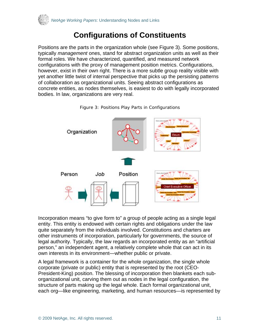<span id="page-10-0"></span>

# **Configurations of Constituents**

Positions are the parts in the organization whole (see Figure 3). Some positions, typically *management* ones, stand for abstract organization units as well as their formal roles. We have characterized, quantified, and measured network configurations with the proxy of management position metrics. Configurations, however, exist in their own right. There is a more subtle group reality visible with yet another little twist of internal perspective that picks up the persisting patterns of collaboration as organizational units. Seeing abstract configurations as concrete entities, as nodes themselves, is easiest to do with legally incorporated bodies. In law, organizations are very real.



Figure 3: Positions Play Parts in Configurations

Incorporation means "to give form to" a group of people acting as a single legal entity. This entity is endowed with certain rights and obligations under the law quite separately from the individuals involved. Constitutions and charters are other instruments of incorporation, particularly for governments, the source of legal authority. Typically, the law regards an incorporated entity as an "artificial person," an independent agent, a relatively complete whole that can act in its own interests in its environment—whether public or private.

A legal framework is a container for the whole organization, the single whole corporate (private or public) entity that is represented by the root (CEO-President-King) position. The blessing of incorporation then blankets each suborganizational unit, carving them out as nodes in the legal configuration, the structure of parts making up the legal whole. Each formal organizational unit, each org—like engineering, marketing, and human resources—is represented by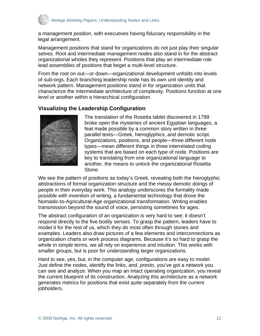<span id="page-11-0"></span>

a management position, with executives having fiduciary responsibility in the legal arrangement.

Management positions that stand for organizations do not just play their singular selves. Root and intermediate management nodes also stand in for the abstract organizational wholes they represent. Positions that play an intermediate role lead assemblies of positions that beget a multi-level structure.

From the root on out—or down—organizational development unfolds into levels of sub-orgs. Each branching leadership node has its own unit identity and network pattern. Management positions stand in for organization units that characterize the intermediate architecture of complexity. Positions function at one level or another within a hierarchical configuration.

#### **Visualizing the Leadership Configuration**



The translation of the Rosetta tablet discovered in 1799 broke open the mysteries of ancient Egyptian languages, a feat made possible by a common story written in three parallel texts—Greek, hieroglyphics, and demotic script. Organizations, positions, and people—three different node types—mean different things in three interrelated coding systems that are based on each type of node. Positions are key to translating from one organizational language to another, the means to unlock the organizational Rosetta Stone.

We see the pattern of positions as today's Greek, revealing both the hieroglyphic abstractions of formal organization structure and the messy demotic doings of people in their everyday work. This analogy underscores the formality made possible with invention of writing, a fundamental technology that drove the Nomadic-to-Agricultural-Age organizational transformation. Writing enables transmission beyond the sound of voice, persisting sometimes for ages.

The abstract configuration of an organization is very hard to see; it doesn't respond directly to the five bodily senses. To grasp the pattern, leaders have to model it for the rest of us, which they do most often through stories and examples. Leaders also draw pictures of a few elements and interconnections as organization charts or work process diagrams. Because it's so hard to grasp the whole in simple terms, we all rely on experience and intuition. This works with smaller groups, but is poor for understanding larger organizations.

Hard to see, yes, but, in the computer age, configurations are easy to model. Just define the nodes, identify the links, and, *presto*, you've got a network you can see and analyze. When you map an intact operating organization, you reveal the current blueprint of its construction. Analyzing this architecture as a network generates metrics for positions that exist quite separately from the current jobholders.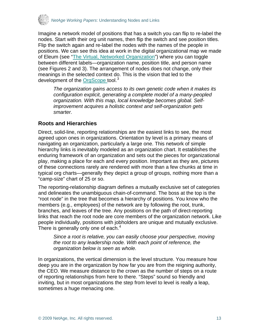<span id="page-12-0"></span>

Imagine a network model of positions that has a switch you can flip to re-label the nodes. Start with their org unit names, then flip the switch and see position titles. Flip the switch again and re-label the nodes with the names of the people in positions. We can see this idea at work in the digital organizational map we made of Eleum (see ["The Virtual, Networked Organization"](http://www.netage.com/pub/articles/articles%20-%20new/Virtual%20Networked%20Org_pg-proof.pdfhttp:/www.netage.com/pub/articles/articles%20-%20new/Virtual%20Networked%20Org_pg-proof.pdf)) where you can toggle between different labels—organization name, position title, and person name (see Figures 2 and 3). The arrangement of nodes does not change, only their meanings in the selected context do. This is the vision that led to the development of the [OrgScope t](http://www.netage.com/orgscope/index.html)ool.<sup>[3](#page-27-2)</sup>

*The organization gains access to its own genetic code when it makes its configuration explicit, generating a complete model of a many-peopled organization. With this map, local knowledge becomes global. Selfimprovement acquires a holistic context and self-organization gets smarter.* 

### **Roots and Hierarchies**

Direct, solid-line, reporting relationships are the easiest links to see, the most agreed upon ones in organizations. Orientation by level is a primary means of navigating an organization, particularly a large one. This network of simple hierarchy links is inevitably modeled as an organization chart. It establishes the enduring framework of an organization and sets out the pieces for organizational play, making a place for each and every position. Important as they are, pictures of these connections rarely are rendered with more than a few chunks at time in typical org charts—generally they depict a group of groups, nothing more than a "camp-size" chart of 25 or so.

The reporting-relationship diagram defines a mutually exclusive set of categories and delineates the unambiguous chain-of-command. The boss at the top is the "root node" in the tree that becomes a hierarchy of positions. You know who the members (e.g., employees) of the network are by following the root, trunk, branches, and leaves of the tree. Any positions on the path of direct-reporting links that reach the root node are core members of the organization network. Like people individually, positions with jobholders are unique and mutually exclusive. There is generally only one of each. $4$ 

*Since a root is relative, you can easily choose your perspective, moving the root to any leadership node. With each point of reference, the organization below is seen as whole.* 

In organizations, the vertical dimension is the level structure. You measure how deep you are in the organization by how far you are from the reigning authority, the CEO. We measure distance to the crown as the number of steps on a route of reporting relationships from here to there. "Steps" sound so friendly and inviting, but in most organizations the step from level to level is really a leap, sometimes a huge menacing one.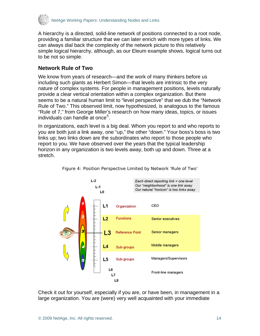<span id="page-13-0"></span>

A hierarchy is a directed, solid-line network of positions connected to a root node, providing a familiar structure that we can later enrich with more types of links. We can always dial back the complexity of the network picture to this relatively simple logical hierarchy, although, as our Eleum example shows, logical turns out to be not so simple.

## **Network Rule of Two**

We know from years of research—and the work of many thinkers before us including such giants as Herbert Simon—that levels are intrinsic to the very nature of complex systems. For people in management positions, levels naturally provide a clear vertical orientation within a complex organization. But there seems to be a natural human limit to "level perspective" that we dub the "Network Rule of Two." This observed limit, now hypothesized, is analogous to the famous "Rule of 7," from George Miller's research on how many ideas, topics, or issues individuals can handle at once<sup>[5](#page-27-2)</sup>.

In organizations, each level is a big deal. Whom you report to and who reports to you are both just a link away, one "up," the other "down." Your boss's boss is two links up; two links down are the subordinates who report to those people who report to you. We have observed over the years that the typical leadership horizon in any organization is two levels away, both up and down. Three at a stretch.



Figure 4: Position Perspective Limited by Network 'Rule of Two'

Check it out for yourself, especially if you are, or have been, in management in a large organization. You are (were) very well acquainted with your immediate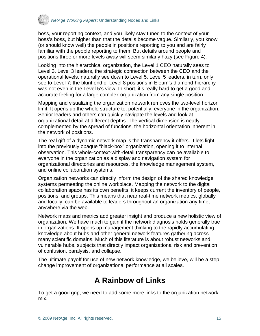<span id="page-14-0"></span>

boss, your reporting context, and you likely stay tuned to the context of your boss's boss, but higher than that the details become vague. Similarly, you know (or should know well) the people in positions reporting to you and are fairly familiar with the people reporting to them. But details around people and positions three or more levels away will seem similarly hazy (see Figure 4).

Looking into the hierarchical organization, the Level 1 CEO naturally sees to Level 3. Level 3 leaders, the strategic connection between the CEO and the operational levels, naturally see down to Level 5. Level 5 leaders, in turn, only see to Level 7; the blunt end of Level 8 positions in Eleum's diamond-hierarchy was not even in the Level 5's view. In short, it's really hard to get a good and accurate feeling for a large complex organization from any single position.

Mapping and visualizing the organization network removes the two-level horizon limit. It opens up the whole structure to, potentially, everyone in the organization. Senior leaders and others can quickly navigate the levels and look at organizational detail at different depths. The vertical dimension is neatly complemented by the spread of functions, the horizontal orientation inherent in the network of positions.

The real gift of a dynamic network map is the transparency it offers. It lets light into the previously opaque "black-box" organization, opening it to internal observation. This whole-context-with-detail transparency can be available to everyone in the organization as a display and navigation system for organizational directories and resources, the knowledge management system, and online collaboration systems.

Organization networks can directly inform the design of the shared knowledge systems permeating the online workplace. Mapping the network to the digital collaboration space has its own benefits: it keeps current the inventory of people, positions, and groups. This means that near real-time network metrics, globally and locally, can be available to leaders throughout an organization any time, anywhere via the web.

Network maps and metrics add greater insight and produce a new holistic view of organization. We have much to gain if the network diagnosis holds generally true in organizations. It opens up management thinking to the rapidly accumulating knowledge about hubs and other general network features gathering across many scientific domains. Much of this literature is about robust networks and vulnerable hubs, subjects that directly impact organizational risk and prevention of confusion, paralysis, and collapse.

The ultimate payoff for use of new network knowledge, we believe, will be a stepchange improvement of organizational performance at all scales.

# **A Rainbow of Links**

To get a good grip, we need to add some more links to the organization network mix.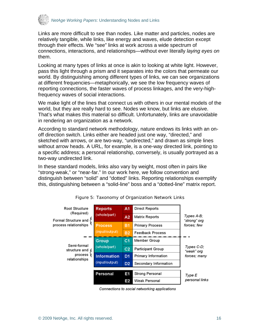

Links are more difficult to see than nodes. Like matter and particles, nodes are relatively tangible, while links, like energy and waves, elude detection except through their effects. We "see" links at work across a wide spectrum of connections, interactions, and relationships—without ever literally *laying eyes on* them.

Looking at many types of links at once is akin to looking at white light. However, pass this light through a prism and it separates into the colors that permeate our world. By distinguishing among different types of links, we can see organizations at different frequencies—metaphorically, we see the low frequency waves of reporting connections, the faster waves of process linkages, and the very-highfrequency waves of social interactions.

We make light of the lines that connect us with others in our mental models of the world, but they are really hard to see. Nodes we know, but links are elusive. That's what makes this material so difficult. Unfortunately, links are unavoidable in rendering an organization as a network.

According to standard network methodology, nature endows its links with an onoff direction switch. Links either are headed just one way, "directed," and sketched with arrows, or are two-way, "undirected," and drawn as simple lines without arrow heads. A URL, for example, is a one-way directed link, pointing to a specific address; a personal relationship, conversely, is usually portrayed as a two-way undirected link.

In these standard models, links also vary by weight, most often in pairs like "strong-weak," or "near-far." In our work here, we follow convention and distinguish between "solid" and "dotted" links. Reporting relationships exemplify this, distinguishing between a "solid-line" boss and a "dotted-line" matrix report.



Figure 5: Taxonomy of Organization Network Links

Connections to social networking applications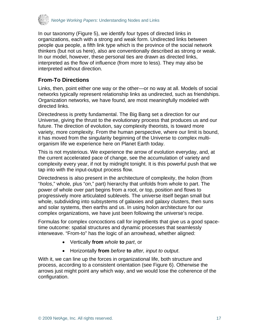<span id="page-16-0"></span>

In our taxonomy (Figure 5), we identify four types of directed links in organizations, each with a strong and weak form. Undirected links between people *qua* people, a fifth link type which is the province of the social network thinkers (but not us here), also are conventionally described as strong or weak. In our model, however, these personal ties are drawn as directed links, interpreted as the flow of influence (from more to less). They may also be interpreted without direction.

## **From-To Directions**

Links, then, point either one way or the other—or no way at all. Models of social networks typically represent relationship links as undirected, such as friendships. Organization networks, we have found, are most meaningfully modeled with directed links.

Directedness is pretty fundamental. The Big Bang set a direction for our Universe, giving the thrust to the evolutionary process that produces us and our future. The direction of evolution, say complexity theorists, is toward more variety, more complexity. From the human perspective, where our limit is bound, it has moved from the singularity beginning of the Universe to complex multiorganism life we experience here on Planet Earth today.

This is not mysterious. We experience the arrow of evolution everyday, and, at the current accelerated pace of change, see the accumulation of variety and complexity every year, if not by midnight tonight. It is this powerful push that we tap into with the input-output process flow.

Directedness is also present in the architecture of complexity, the holon (from "*holos*," whole, plus "*on*," part) hierarchy that unfolds from whole to part. The power of whole over part begins from a root, or top, position and flows to progressively more articulated sublevels. The universe itself began small but whole, subdividing into subsystems of galaxies and galaxy clusters, then suns and solar systems, then earths and us. In using holon architecture for our complex organizations, we have just been following the universe's recipe.

Formulas for complex concoctions call for ingredients that give us a good spacetime outcome: spatial structures and dynamic processes that seamlessly interweave. "From-to" has the logic of an arrowhead, whether aligned:

- Vertically **from** *whole* **to** *part*, or
- Horizontally **from** *before* **to** *after, input to output*.

With it, we can line up the forces in organizational life, both structure and process, according to a consistent orientation (see Figure 6). Otherwise the arrows just might point any which way, and we would lose the coherence of the configuration.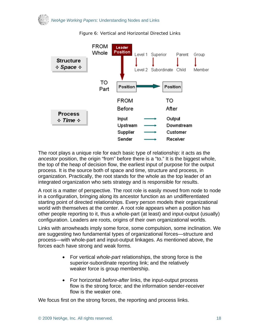

#### Figure 6: Vertical and Horizontal Directed Links

The root plays a unique role for each basic type of relationship: it acts as the *ancestor* position, the origin "from" before there is a "to." It is the biggest whole, the top of the heap of decision flow, the earliest input of purpose for the output process. It is the source both of space and time, structure and process, in organization. Practically, the root stands for the whole as the top leader of an integrated organization who sets strategy and is responsible for results.

A root is a matter of perspective. The root role is easily moved from node to node in a configuration, bringing along its ancestor function as an undifferentiated starting point of directed relationships. Every person models their organizational world with themselves at the center. A root role appears when a position has other people reporting to it, thus a whole-part (at least) and input-output (usually) configuration. Leaders are roots, origins of their own organizational worlds.

Links with arrowheads imply some force, some compulsion, some inclination. We are suggesting two fundamental types of organizational forces—structure and process—with whole-part and input-output linkages. As mentioned above, the forces each have strong and weak forms.

- For vertical *whole-part* relationships, the strong force is the superior-subordinate reporting link; and the relatively weaker force is group membership.
- For horizontal *before-after* links, the input-output process flow is the strong force; and the information sender-receiver flow is the weaker one.

We focus first on the strong forces, the reporting and process links.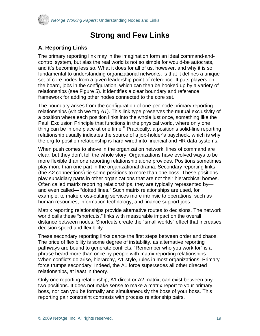<span id="page-18-0"></span>

## **Strong and Few Links**

## **A. Reporting Links**

The primary reporting link may in the imagination form an ideal command-andcontrol system, but alas the real world is not so simple for would-be autocrats, and it's becoming less so. What it does for all of us, however, and why it is so fundamental to understanding organizational networks, is that it defines a unique set of core nodes from a given leadership point of reference. It puts players on the board, jobs in the configuration, which can then be hooked up by a variety of relationships (see Figure 5). It identifies a clear boundary and reference framework for adding other nodes connected to the core set.

The boundary arises from the configuration of one-per-node primary reporting relationships (which we tag *A1)*. This link type preserves the mutual exclusivity of a position where each position links into the whole just once, something like the Pauli Exclusion Principle that functions in the physical world, where only one thing can be in one place at one time.<sup>[6](#page-27-2)</sup> Practically, a position's solid-line reporting relationship usually indicates the source of a job-holder's paycheck, which is why the org-to-position relationship is hard-wired into financial and HR data systems.

When push comes to shove in the organization network, lines of command are clear, but they don't tell the whole story. Organizations have evolved ways to be more flexible than one reporting relationship alone provides. Positions sometimes play more than one part in the organizational drama. Secondary reporting links (the *A2* connections) tie some positions to more than one boss. These positions play subsidiary parts in other organizations that are not their hierarchical homes. Often called matrix reporting relationships, they are typically represented by and even called— "dotted lines." Such matrix relationships are used, for example, to make cross-cutting services more intrinsic to operations, such as human resources, information technology, and finance support jobs.

Matrix reporting relationships provide alternative routes to decisions. The network world calls these "shortcuts," links with measurable impact on the overall distance between nodes. Shortcuts create the "small worlds" effect that increases decision speed and flexibility.

These secondary reporting links dance the first steps between order and chaos. The price of flexibility is some degree of instability, as alternative reporting pathways are bound to generate conflicts. "Remember who you work for" is a phrase heard more than once by people with matrix reporting relationships. When conflicts do arise, hierarchy, A1-style, rules in most organizations. Primary force trumps secondary. Indeed, the A1 force supersedes all other directed relationships, at least in theory.

Only one reporting relationship, A1 direct or A2 matrix, can exist between any two positions. It does not make sense to make a matrix report to your primary boss, nor can you be formally and simultaneously the boss of your boss. This reporting pair constraint contrasts with process relationship pairs.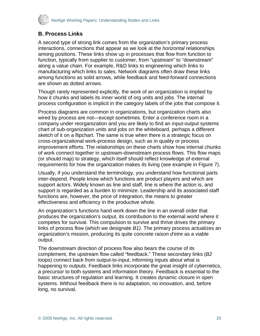<span id="page-19-0"></span>

## **B. Process Links**

A second type of strong link comes from the organization's primary process interactions, connections that appear as we look at the *horizontal* relationships among positions. These links show up in processes that flow from function to function, typically from supplier to customer, from "upstream" to "downstream" along a value chain. For example, R&D links to engineering which links to manufacturing which links to sales. Network diagrams often draw these links among functions as solid arrows, while feedback and feed-forward connections are shown as dotted arrows.

Though rarely represented explicitly, the work of an organization is implied by how it chunks and labels its inner world of org units and jobs. The internal process configuration is implicit in the category labels of the jobs that compose it.

Process diagrams are common in organizations, but organization charts also wired by process are not—except sometimes. Enter a conference room in a company under reorganization and you are likely to find an input-output systems chart of sub-organization units and jobs on the whiteboard, perhaps a different sketch of it on a flipchart. The same is true when there is a strategic focus on cross-organizational work-process design, such as in quality or process improvement efforts. The relationships on these charts show how internal chunks of work connect together in upstream-downstream process flows. This flow maps (or should map) to strategy, which itself should reflect knowledge of external requirements for how the organization makes *its* living (see example in Figure 7).

Usually, if you understand the terminology, you understand how functional parts inter-depend. People know which functions are product players and which are support actors. Widely known as line and staff, line is where the action is, and support is regarded as a burden to minimize. Leadership and its associated staff functions are, however, the price of integration, the means to greater effectiveness and efficiency in the productive whole.

An organization's functions hand work down the line in an overall order that produces the organization's output, its contribution to the external world where it competes for survival. This compulsion to survive and thrive drives the primary links of process flow (which we designate *B1)*. The primary process actualizes an organization's mission, producing its quite concrete *raison d'etre* as a viable output.

The downstream direction of process flow also bears the course of its complement, the upstream flow called "feedback." These secondary links (*B2*  loops) connect back from output-to-input, informing inputs about what is happening to outputs. Feedback links incorporate the great insight of cybernetics, a precursor to both systems and information theory. Feedback is essential to the basic structures of regulation and learning. It creates dynamic closure in open systems. Without feedback there is no adaptation, no innovation, and, before long, no survival.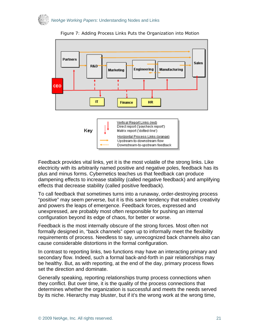



Figure 7: Adding Process Links Puts the Organization into Motion

Feedback provides vital links, yet it is the most volatile of the strong links. Like electricity with its arbitrarily named positive and negative poles, feedback has its plus and minus forms. Cybernetics teaches us that feedback can produce dampening effects to increase stability (called negative feedback) and amplifying effects that decrease stability (called positive feedback).

To call feedback that sometimes turns into a runaway, order-destroying process "positive" may seem perverse, but it is this same tendency that enables creativity and powers the leaps of emergence. Feedback forces, expressed and unexpressed, are probably most often responsible for pushing an internal configuration beyond its edge of chaos, for better or worse.

Feedback is the most internally obscure of the strong forces. Most often not formally designed in, "back channels" open up to informally meet the flexibility requirements of process. Needless to say, unrecognized back channels also can cause considerable distortions in the formal configuration.

In contrast to reporting links, two functions may have an interacting primary and secondary flow. Indeed, such a formal back-and-forth in pair relationships may be healthy. But, as with reporting, at the end of the day, primary process flows set the direction and dominate.

Generally speaking, reporting relationships trump process connections when they conflict. But over time, it is the quality of the process connections that determines whether the organization is successful and meets the needs served by its niche. Hierarchy may bluster, but if it's the wrong work at the wrong time,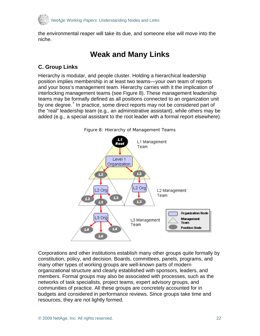<span id="page-21-0"></span>

the environmental reaper will take its due, and someone else will move into the niche.

# **Weak and Many Links**

## **C. Group Links**

Hierarchy is modular, and people cluster. Holding a hierarchical leadership position implies membership in at least two teams—your own team of reports and your boss's management team. Hierarchy carries with it the implication of interlocking management teams (see Figure 8). These management leadership teams may be formally defined as all positions connected to an organization unit by one degree.<sup>[7](#page-27-2)</sup> In practice, some direct reports may not be considered part of the "real" leadership team (e.g., an administrative assistant), while others may be added (e.g., a special assistant to the root leader with a formal report elsewhere).



Figure 8: Hierarchy of Management Teams

Corporations and other institutions establish many other groups quite formally by constitution, policy, and decision. Boards, committees, panels, programs, and many other types of working groups are well-known parts of modern organizational structure and clearly established with sponsors, leaders, and members. Formal groups may also be associated with processes, such as the networks of task specialists, project teams, expert advisory groups, and communities of practice. All these groups are concretely accounted for in budgets and considered in performance reviews. Since groups take time and resources, they are not lightly formed.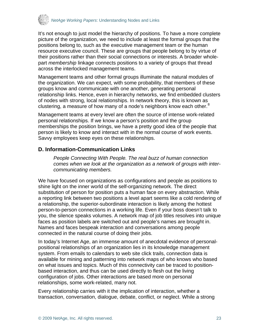<span id="page-22-0"></span>

It's not enough to just model the hierarchy of positions. To have a more complete picture of the organization, we need to include at least the formal groups that the positions belong to, such as the executive management team or the human resource executive council. These are groups that people belong to by virtue of their positions rather than their social connections or interests. A broader wholepart *membership* linkage connects positions to a variety of groups that thread across the interlocked management teams.

Management teams and other formal groups illuminate the natural modules of the organization. We can expect, with some probability, that members of these groups know and communicate with one another, generating personal relationship links. Hence, even in hierarchy networks, we find embedded clusters of nodes with strong, local relationships. In network theory, this is known as clustering, a measure of how many of a node's neighbors know each other. $8$ 

Management teams at every level are often the source of intense work-related personal relationships. If we know a person's position and the group memberships the position brings, we have a pretty good idea of the people that person is likely to know and interact with in the normal course of work events. Savvy employees keep eyes on these relationships.

### **D. Information-Communication Links**

*People Connecting With People. The real buzz of human connection comes when we look at the organization as a network of groups with intercommunicating members.* 

We have focused on organizations as configurations and people as positions to shine light on the inner world of the self-organizing network. The direct substitution of person for position puts a human face on every abstraction. While a reporting link between two positions a level apart seems like a cold rendering of a relationship, the superior-subordinate interaction is likely among the hottest person-to-person connections in a working life. Even if your boss doesn't talk to you, the silence speaks volumes. A network map of job titles resolves into unique faces as position labels are switched out and people's names are brought in. Names and faces bespeak interaction and conversations among people connected in the natural course of doing their jobs.

In today's Internet Age, an immense amount of anecdotal evidence of personalpositional relationships of an organization lies in its knowledge management system. From emails to calendars to web site click trails, connection data is available for mining and patterning into network maps of who knows who based on what issues and topics. Much of this connectivity can be traced to positionbased interaction, and thus can be used directly to flesh out the living configuration of jobs. Other interactions are based more on personal relationships, some work-related, many not.

Every relationship carries with it the implication of interaction, whether a transaction, conversation, dialogue, debate, conflict, or neglect. While a strong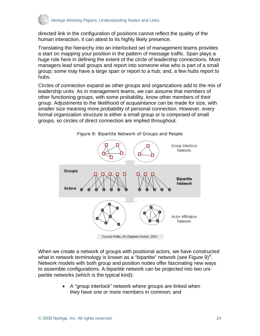

directed link in the configuration of positions cannot reflect the quality of the human interaction, it can attest to its highly likely presence.

Translating the hierarchy into an interlocked set of management teams provides a start on mapping your position in the pattern of message traffic. Span plays a huge role here in defining the extent of the circle of leadership connections. Most managers lead small groups and report into someone else who is part of a small group; some may have a large span or report to a hub; and, a few hubs report to hubs.

Circles of connection expand as other groups and organizations add to the mix of leadership units. As in management teams, we can assume that members of other functioning groups, with some probability, know other members of their group. Adjustments to the likelihood of acquaintance can be made for size, with smaller size meaning more probability of personal connection. However, every formal organization structure is either a small group or is composed of small groups, so circles of direct connection are implied throughout.



When we create a network of groups with positional actors, we have constructed what in network terminology is known as a "bipartite" network (see Figure [9](#page-27-2)) $^9$ . Network models with both group and position nodes offer fascinating new ways to assemble configurations. A bipartite network can be projected into two unipartite networks (which is the typical kind):

> • A "group interlock" network where groups are linked when they have one or more members in common; and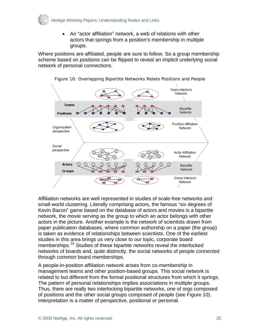

• An "actor affiliation" network, a web of relations with other actors that springs from a position's membership in multiple groups.

Where positions are affiliated, people are sure to follow. So a group membership scheme based on positions can be flipped to reveal an implicit underlying social network of personal connections.



Figure 10: Overlapping Bipartite Networks Relate Positions and People

Affiliation networks are well represented in studies of scale-free networks and small-world clustering. Literally comprising actors, the famous "six degrees of Kevin Bacon" game based on the database of actors and movies is a bipartite network, the movie serving as the group to which an actor belongs with other actors in the picture. Another example is the network of scientists drawn from paper publication databases, where common authorship on a paper (the group) is taken as evidence of relationships between scientists. One of the earliest studies in this area brings us very close to our topic, corporate board memberships.<sup>[10](#page-27-2)</sup> Studies of these bipartite networks reveal the interlocked networks of boards and, quite distinctly, the social networks of people connected through common board memberships.

A people-in-position affiliation network arises from co-membership in management teams and other position-based groups. This social network is related to but different from the formal positional structures from which it springs. The pattern of personal relationships implies associations in multiple groups. Thus, there are really two interlocking bipartite networks, one of orgs composed of positions and the other social groups composed of people (see Figure 10). Interpretation is a matter of perspective, positional or personal.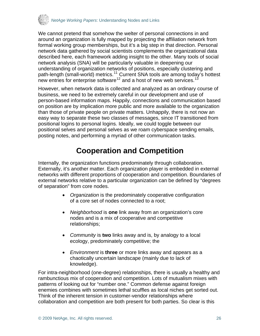<span id="page-25-0"></span>

We cannot pretend that somehow the welter of personal connections in and around an organization is fully mapped by projecting the affiliation network from formal working group memberships, but it's a big step in that direction. Personal network data gathered by social scientists complements the organizational data described here, each framework adding insight to the other. Many tools of social network analysis (SNA) will be particularly valuable in deepening our understanding of organization networks of positions, especially clustering and path-length (small-world) metrics.<sup>[11](#page-27-2)</sup> Current SNA tools are among today's hottest new entries for enterprise software<sup>[12](#page-27-2)</sup> and a host of new web services.<sup>[13](#page-27-2)</sup>

However, when network data is collected and analyzed as an ordinary course of business, we need to be extremely careful in our development and use of person-based information maps. Happily, connections and communication based on position are by implication more public and more available to the organization than those of private people on private matters. Unhappily, there is not now an easy way to separate these two classes of messages, since IT transitioned from positional logins to personal logins. Ideally, we could toggle between our positional selves and personal selves as we roam cyberspace sending emails, posting notes, and performing a myriad of other communication tasks.

# **Cooperation and Competition**

Internally, the organization functions predominately through collaboration. Externally, it's another matter. Each organization player is embedded in external networks with different proportions of cooperation and competition. Boundaries of external networks relative to a particular organization can be defined by "degrees of separation" from core nodes.

- *Organization* is the predominately cooperative configuration of a core set of nodes connected to a root;
- *Neighborhood* is **one** link away from an organization's core nodes and is a mix of cooperative and competitive relationships;
- *Community* is **two** links away and is, by analogy to a local ecology, predominately competitive; the
- *Environment* is **three** or more links away and appears as a chaotically uncertain landscape (mainly due to lack of knowledge).

For intra-neighborhood (one-degree) relationships, there is usually a healthy and rambunctious mix of cooperation and competition. Lots of mutualism mixes with patterns of looking out for "number one." Common defense against foreign enemies combines with sometimes lethal scuffles as local niches get sorted out. Think of the inherent tension in customer-vendor relationships where collaboration and competition are both present for both parties. So clear is this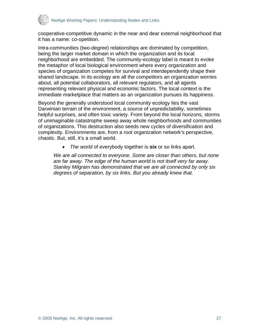

cooperative-competitive dynamic in the near and dear external neighborhood that it has a name: co-opetition.

Intra-communities (two-degree) relationships are dominated by competition, being the larger market domain in which the organization and its local neighborhood are embedded. The community-ecology label is meant to evoke the metaphor of local biological environment where every organization and species of organization competes for survival and interdependently shape their shared landscape. In its ecology are all the competitors an organization worries about, all potential collaborators, all relevant regulators, and all agents representing relevant physical and economic factors. The local context is the immediate marketplace that matters as an organization pursues its happiness.

Beyond the generally understood local community ecology lies the vast Darwinian terrain of the environment, a source of unpredictability, sometimes helpful surprises, and often toxic variety. From beyond the local horizons, storms of unimaginable catastrophe sweep away whole neighborhoods and communities of organizations. This destruction also seeds new cycles of diversification and complexity. Environments are, from a root organization network's perspective, chaotic. But, still, it's a small world.

• *The world* of everybody together is **six** or so links apart.

*We are all connected to everyone. Some are closer than others, but none are far away. The edge of the human world is not itself very far away. Stanley Milgram has demonstrated that we are all connected by only six degrees of separation, by six links. But you already knew that.*